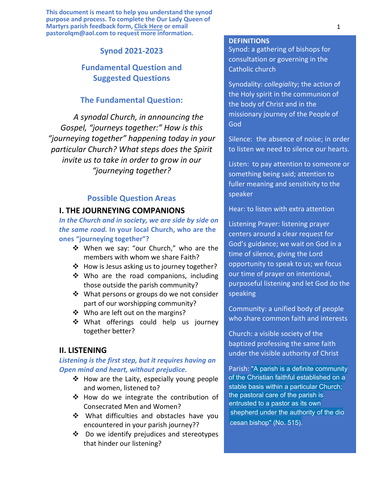**This document is meant to help you understand the synod purpose and process. To complete the Our Lady Queen of Martyrs parish feedback form, Click [Here](https://forms.gle/VRbRU9qzMM8Eiwt2A) or email pastorolqm@aol.com to request more information.**

#### **Synod 2021-2023**

## **Fundamental Question and Suggested Questions**

### **The Fundamental Question:**

*A synodal Church, in announcing the Gospel, "journeys together:" How is this "journeying together" happening today in your particular Church? What steps does the Spirit invite us to take in order to grow in our "journeying together?* 

# **Possible Question Areas**

#### **I. THE JOURNEYING COMPANIONS**

*In the Church and in society, we are side by side on the same road.* **In your local Church, who are the ones "journeying together"?** 

- When we say: "our Church," who are the members with whom we share Faith?
- ❖ How is Jesus asking us to journey together?
- $\div$  Who are the road companions, including those outside the parish community?
- ❖ What persons or groups do we not consider part of our worshipping community?
- ❖ Who are left out on the margins?
- ❖ What offerings could help us journey together better?

### **II. LISTENING**

#### *Listening is the first step, but it requires having an Open mind and heart, without prejudice.*

- ❖ How are the Laity, especially young people and women, listened to?
- $\triangle$  How do we integrate the contribution of Consecrated Men and Women?
- What difficulties and obstacles have you encountered in your parish journey??
- $\cdot$  Do we identify prejudices and stereotypes that hinder our listening?

#### **DEFINITIONS**

Synod: a gathering of bishops for consultation or governing in the Catholic church

Synodality: *collegiality*; the action of the Holy spirit in the communion of the body of Christ and in the missionary journey of the People of God

Silence: the absence of noise; in order to listen we need to silence our hearts.

Listen: to pay attention to someone or something being said; attention to fuller meaning and sensitivity to the speaker

Hear: to listen with extra attention

Listening Prayer: listening prayer centers around a clear request for God's guidance; we wait on God in a time of silence, giving the Lord opportunity to speak to us; we focus our time of prayer on intentional, purposeful listening and let God do the speaking

Community: a unified body of people who share common faith and interests

Church: a visible society of the baptized professing the same faith under the visible authority of Christ

Parish: "A parish is a definite community of the Christian faithful established on a stable basis within a particular Church; the pastoral care of the parish is entrusted to a pastor as its own shepherd under the authority of the dio cesan bishop" (No. 515).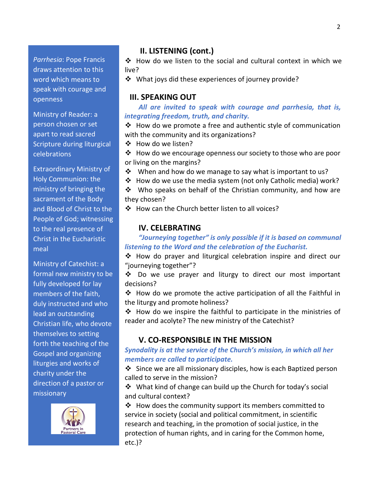*Parrhesia*: Pope Francis draws attention to this word which means to speak with courage and openness

Ministry of Reader: a person chosen or set apart to read sacred Scripture during liturgical celebrations

Extraordinary Ministry of Holy Communion: the ministry of bringing the sacrament of the Body and Blood of Christ to the People of God; witnessing to the real presence of Christ in the Eucharistic meal

Ministry of Catechist: a formal new ministry to be fully developed for lay members of the faith, duly instructed and who lead an outstanding Christian life, who devote themselves to setting forth the teaching of the Gospel and organizing liturgies and works of charity under the direction of a pastor or missionary



## **II. LISTENING (cont.)**

 How do we listen to the social and cultural context in which we live?

What joys did these experiences of journey provide?

## **III. SPEAKING OUT**

*All are invited to speak with courage and parrhesia, that is, integrating freedom, truth, and charity.* 

 $\cdot$  How do we promote a free and authentic style of communication with the community and its organizations?

❖ How do we listen?

 How do we encourage openness our society to those who are poor or living on the margins?

 $\mathbf{\hat{P}}$  When and how do we manage to say what is important to us?

How do we use the media system (not only Catholic media) work?

 $\cdot \cdot$  Who speaks on behalf of the Christian community, and how are they chosen?

❖ How can the Church better listen to all voices?

## **IV. CELEBRATING**

## *"Journeying together" is only possible if it is based on communal listening to the Word and the celebration of the Eucharist.*

 How do prayer and liturgical celebration inspire and direct our "journeying together"?

 $\cdot$  Do we use prayer and liturgy to direct our most important decisions?

 $\cdot$  How do we promote the active participation of all the Faithful in the liturgy and promote holiness?

 $\cdot \cdot$  How do we inspire the faithful to participate in the ministries of reader and acolyte? The new ministry of the Catechist?

## **V. CO-RESPONSIBLE IN THE MISSION**

*Synodality is at the service of the Church's mission, in which all her members are called to participate.*

 $\cdot$  Since we are all missionary disciples, how is each Baptized person called to serve in the mission?

 $\cdot$  What kind of change can build up the Church for today's social and cultural context?

 $\cdot \cdot$  How does the community support its members committed to service in society (social and political commitment, in scientific research and teaching, in the promotion of social justice, in the protection of human rights, and in caring for the Common home, etc.)?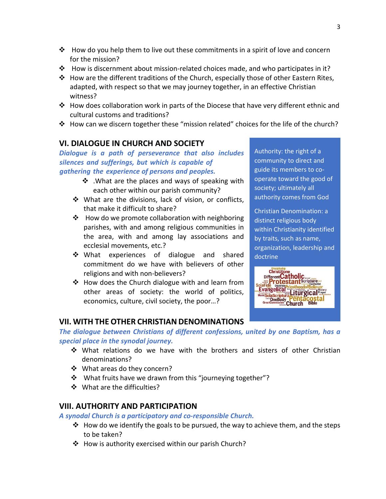- $\clubsuit$  How do you help them to live out these commitments in a spirit of love and concern for the mission?
- $\clubsuit$  How is discernment about mission-related choices made, and who participates in it?
- $\clubsuit$  How are the different traditions of the Church, especially those of other Eastern Rites, adapted, with respect so that we may journey together, in an effective Christian witness?
- $\div$  How does collaboration work in parts of the Diocese that have very different ethnic and cultural customs and traditions?
- $\div$  How can we discern together these "mission related" choices for the life of the church?

# **VI. DIALOGUE IN CHURCH AND SOCIETY**

*Dialogue is a path of perseverance that also includes silences and sufferings, but which is capable of gathering the experience of persons and peoples.*

- What are the places and ways of speaking with each other within our parish community?
- ❖ What are the divisions, lack of vision, or conflicts, that make it difficult to share?
- $\triangleq$  How do we promote collaboration with neighboring parishes, with and among religious communities in the area, with and among lay associations and ecclesial movements, etc.?
- ❖ What experiences of dialogue and shared commitment do we have with believers of other religions and with non-believers?
- $\div$  How does the Church dialogue with and learn from other areas of society: the world of politics, economics, culture, civil society, the poor…?

Authority: the right of a community to direct and guide its members to cooperate toward the good of society; ultimately all authority comes from God

Christian Denomination: a distinct religious body within Christianity identified by traits, such as name, organization, leadership and doctrine



# **VII. WITH THE OTHER CHRISTIAN DENOMINATIONS**

*The dialogue between Christians of different confessions, united by one Baptism, has a special place in the synodal journey.* 

- What relations do we have with the brothers and sisters of other Christian denominations?
- What areas do they concern?
- What fruits have we drawn from this "journeying together"?
- ❖ What are the difficulties?

# **VIII. AUTHORITY AND PARTICIPATION**

*A synodal Church is a participatory and co-responsible Church.*

- $\clubsuit$  How do we identify the goals to be pursued, the way to achieve them, and the steps to be taken?
- $\clubsuit$  How is authority exercised within our parish Church?